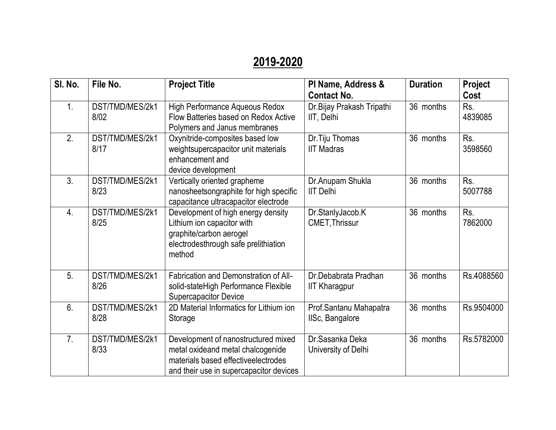## **2019-2020**

| SI. No.        | File No.                | <b>Project Title</b>                                                                                                                                        | PI Name, Address &<br><b>Contact No.</b>     | <b>Duration</b> | Project<br>Cost |
|----------------|-------------------------|-------------------------------------------------------------------------------------------------------------------------------------------------------------|----------------------------------------------|-----------------|-----------------|
| 1.             | DST/TMD/MES/2k1<br>8/02 | <b>High Performance Aqueous Redox</b><br>Flow Batteries based on Redox Active<br>Polymers and Janus membranes                                               | Dr.Bijay Prakash Tripathi<br>IIT, Delhi      | 36 months       | Rs.<br>4839085  |
| 2.             | DST/TMD/MES/2k1<br>8/17 | Oxynitride-composites based low<br>weightsupercapacitor unit materials<br>enhancement and<br>device development                                             | Dr. Tiju Thomas<br><b>IIT Madras</b>         | 36 months       | Rs.<br>3598560  |
| 3.             | DST/TMD/MES/2k1<br>8/23 | Vertically oriented grapheme<br>nanosheetsongraphite for high specific<br>capacitance ultracapacitor electrode                                              | Dr.Anupam Shukla<br><b>IIT Delhi</b>         | 36 months       | Rs.<br>5007788  |
| 4.             | DST/TMD/MES/2k1<br>8/25 | Development of high energy density<br>Lithium ion capacitor with<br>graphite/carbon aerogel<br>electrodesthrough safe prelithiation<br>method               | Dr.StanlyJacob.K<br><b>CMET, Thrissur</b>    | 36 months       | Rs.<br>7862000  |
| 5.             | DST/TMD/MES/2k1<br>8/26 | Fabrication and Demonstration of All-<br>solid-stateHigh Performance Flexible<br><b>Supercapacitor Device</b>                                               | Dr.Debabrata Pradhan<br><b>IIT Kharagpur</b> | 36 months       | Rs.4088560      |
| 6.             | DST/TMD/MES/2k1<br>8/28 | 2D Material Informatics for Lithium ion<br>Storage                                                                                                          | Prof.Santanu Mahapatra<br>IISc, Bangalore    | 36 months       | Rs.9504000      |
| 7 <sub>1</sub> | DST/TMD/MES/2k1<br>8/33 | Development of nanostructured mixed<br>metal oxideand metal chalcogenide<br>materials based effective electrodes<br>and their use in supercapacitor devices | Dr.Sasanka Deka<br>University of Delhi       | 36 months       | Rs.5782000      |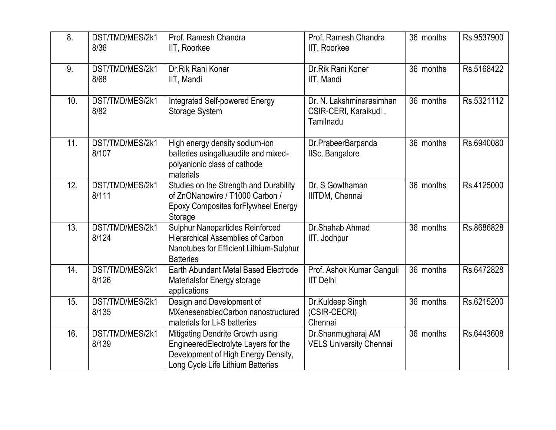| 8.  | DST/TMD/MES/2k1<br>8/36  | Prof. Ramesh Chandra<br>IIT, Roorkee                                                                                                                 | Prof. Ramesh Chandra<br>IIT, Roorkee                           | 36 months | Rs.9537900 |
|-----|--------------------------|------------------------------------------------------------------------------------------------------------------------------------------------------|----------------------------------------------------------------|-----------|------------|
| 9.  | DST/TMD/MES/2k1<br>8/68  | Dr.Rik Rani Koner<br>IIT, Mandi                                                                                                                      | Dr.Rik Rani Koner<br>IIT, Mandi                                | 36 months | Rs.5168422 |
| 10. | DST/TMD/MES/2k1<br>8/82  | Integrated Self-powered Energy<br><b>Storage System</b>                                                                                              | Dr. N. Lakshminarasimhan<br>CSIR-CERI, Karaikudi,<br>Tamilnadu | 36 months | Rs.5321112 |
| 11. | DST/TMD/MES/2k1<br>8/107 | High energy density sodium-ion<br>batteries usingalluaudite and mixed-<br>polyanionic class of cathode<br>materials                                  | Dr.PrabeerBarpanda<br>IISc, Bangalore                          | 36 months | Rs.6940080 |
| 12. | DST/TMD/MES/2k1<br>8/111 | Studies on the Strength and Durability<br>of ZnONanowire / T1000 Carbon /<br><b>Epoxy Composites forFlywheel Energy</b><br>Storage                   | Dr. S Gowthaman<br>IIITDM, Chennai                             | 36 months | Rs.4125000 |
| 13. | DST/TMD/MES/2k1<br>8/124 | <b>Sulphur Nanoparticles Reinforced</b><br><b>Hierarchical Assemblies of Carbon</b><br>Nanotubes for Efficient Lithium-Sulphur<br><b>Batteries</b>   | Dr.Shahab Ahmad<br>IIT, Jodhpur                                | 36 months | Rs.8686828 |
| 14. | DST/TMD/MES/2k1<br>8/126 | Earth Abundant Metal Based Electrode<br><b>Materialsfor Energy storage</b><br>applications                                                           | Prof. Ashok Kumar Ganguli<br><b>IIT Delhi</b>                  | 36 months | Rs.6472828 |
| 15. | DST/TMD/MES/2k1<br>8/135 | Design and Development of<br>MXenesenabledCarbon nanostructured<br>materials for Li-S batteries                                                      | Dr.Kuldeep Singh<br>(CSIR-CECRI)<br>Chennai                    | 36 months | Rs.6215200 |
| 16. | DST/TMD/MES/2k1<br>8/139 | Mitigating Dendrite Growth using<br>EngineeredElectrolyte Layers for the<br>Development of High Energy Density,<br>Long Cycle Life Lithium Batteries | Dr.Shanmugharaj AM<br><b>VELS University Chennai</b>           | 36 months | Rs.6443608 |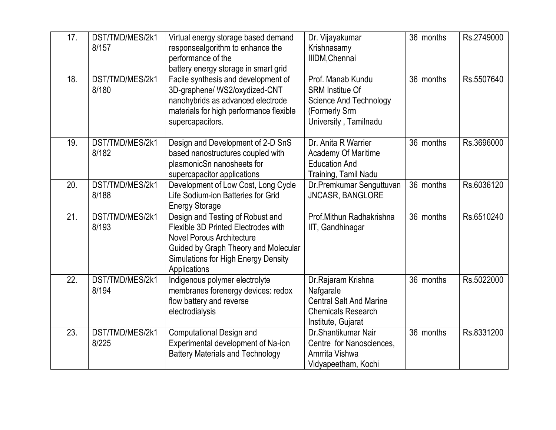| 17. | DST/TMD/MES/2k1<br>8/157 | Virtual energy storage based demand<br>responsealgorithm to enhance the<br>performance of the<br>battery energy storage in smart grid                                                                             | Dr. Vijayakumar<br>Krishnasamy<br>IIIDM, Chennai                                                                       | 36 months | Rs.2749000 |
|-----|--------------------------|-------------------------------------------------------------------------------------------------------------------------------------------------------------------------------------------------------------------|------------------------------------------------------------------------------------------------------------------------|-----------|------------|
| 18. | DST/TMD/MES/2k1<br>8/180 | Facile synthesis and development of<br>3D-graphene/ WS2/oxydized-CNT<br>nanohybrids as advanced electrode<br>materials for high performance flexible<br>supercapacitors.                                          | Prof. Manab Kundu<br><b>SRM Institue Of</b><br><b>Science And Technology</b><br>(Formerly Srm<br>University, Tamilnadu | 36 months | Rs.5507640 |
| 19. | DST/TMD/MES/2k1<br>8/182 | Design and Development of 2-D SnS<br>based nanostructures coupled with<br>plasmonicSn nanosheets for<br>supercapacitor applications                                                                               | Dr. Anita R Warrier<br><b>Academy Of Maritime</b><br><b>Education And</b><br>Training, Tamil Nadu                      | 36 months | Rs.3696000 |
| 20. | DST/TMD/MES/2k1<br>8/188 | Development of Low Cost, Long Cycle<br>Life Sodium-ion Batteries for Grid<br><b>Energy Storage</b>                                                                                                                | Dr.Premkumar Senguttuvan<br>JNCASR, BANGLORE                                                                           | 36 months | Rs.6036120 |
| 21. | DST/TMD/MES/2k1<br>8/193 | Design and Testing of Robust and<br>Flexible 3D Printed Electrodes with<br><b>Novel Porous Architecture</b><br>Guided by Graph Theory and Molecular<br><b>Simulations for High Energy Density</b><br>Applications | Prof.Mithun Radhakrishna<br>IIT, Gandhinagar                                                                           | 36 months | Rs.6510240 |
| 22. | DST/TMD/MES/2k1<br>8/194 | Indigenous polymer electrolyte<br>membranes forenergy devices: redox<br>flow battery and reverse<br>electrodialysis                                                                                               | Dr.Rajaram Krishna<br>Nafgarale<br><b>Central Salt And Marine</b><br><b>Chemicals Research</b><br>Institute, Gujarat   | 36 months | Rs.5022000 |
| 23. | DST/TMD/MES/2k1<br>8/225 | <b>Computational Design and</b><br>Experimental development of Na-ion<br><b>Battery Materials and Technology</b>                                                                                                  | Dr.Shantikumar Nair<br>Centre for Nanosciences,<br>Amrrita Vishwa<br>Vidyapeetham, Kochi                               | 36 months | Rs.8331200 |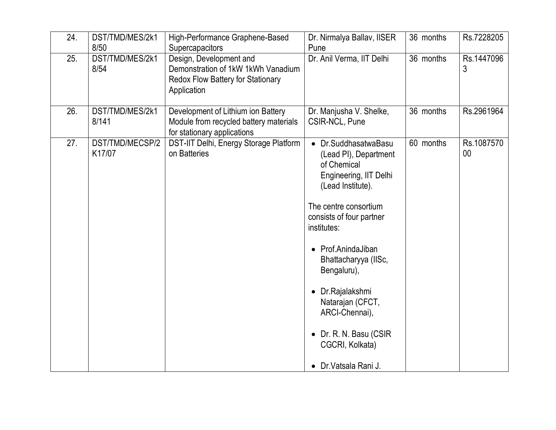| 24. | DST/TMD/MES/2k1<br>8/50   | High-Performance Graphene-Based<br>Supercapacitors                                                                | Dr. Nirmalya Ballav, IISER<br>Pune                                                                                                                                                                                                                                                                                                                                         | 36 months | Rs.7228205       |
|-----|---------------------------|-------------------------------------------------------------------------------------------------------------------|----------------------------------------------------------------------------------------------------------------------------------------------------------------------------------------------------------------------------------------------------------------------------------------------------------------------------------------------------------------------------|-----------|------------------|
| 25. | DST/TMD/MES/2k1<br>8/54   | Design, Development and<br>Demonstration of 1kW 1kWh Vanadium<br>Redox Flow Battery for Stationary<br>Application | Dr. Anil Verma, IIT Delhi                                                                                                                                                                                                                                                                                                                                                  | 36 months | Rs.1447096<br>3  |
| 26. | DST/TMD/MES/2k1<br>8/141  | Development of Lithium ion Battery<br>Module from recycled battery materials<br>for stationary applications       | Dr. Manjusha V. Shelke,<br>CSIR-NCL, Pune                                                                                                                                                                                                                                                                                                                                  | 36 months | Rs.2961964       |
| 27. | DST/TMD/MECSP/2<br>K17/07 | DST-IIT Delhi, Energy Storage Platform<br>on Batteries                                                            | • Dr.SuddhasatwaBasu<br>(Lead PI), Department<br>of Chemical<br>Engineering, IIT Delhi<br>(Lead Institute).<br>The centre consortium<br>consists of four partner<br>institutes:<br>• Prof.AnindaJiban<br>Bhattacharyya (IISc,<br>Bengaluru),<br>Dr.Rajalakshmi<br>Natarajan (CFCT,<br>ARCI-Chennai),<br>• Dr. R. N. Basu (CSIR<br>CGCRI, Kolkata)<br>• Dr. Vatsala Rani J. | 60 months | Rs.1087570<br>00 |